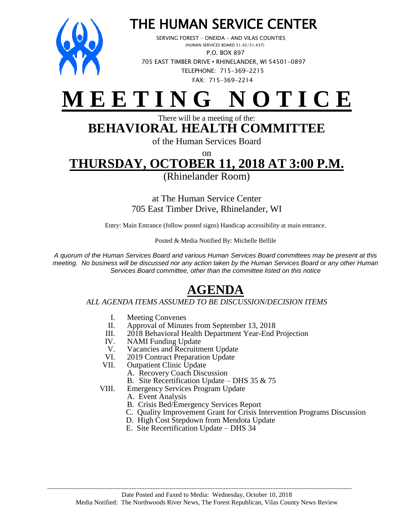

## THE HUMAN SERVICE CENTER

 SERVING FOREST – ONEIDA – AND VILAS COUNTIES (HUMAN SERVICES BOARD 51.42/51.437) P.O. BOX 897 705 EAST TIMBER DRIVE **•** RHINELANDER, WI 54501-0897 TELEPHONE: 715-369-2215 FAX: 715-369-2214



#### There will be a meeting of the: **BEHAVIORAL HEALTH COMMITTEE**

of the Human Services Board

on

# **THURSDAY, OCTOBER 11, 2018 AT 3:00 P.M.**

(Rhinelander Room)

at The Human Service Center 705 East Timber Drive, Rhinelander, WI

Entry: Main Entrance (follow posted signs) Handicap accessibility at main entrance.

Posted & Media Notified By: Michelle Bellile

*A quorum of the Human Services Board and various Human Services Board committees may be present at this meeting. No business will be discussed nor any action taken by the Human Services Board or any other Human Services Board committee, other than the committee listed on this notice*

### **AGENDA**

#### *ALL AGENDA ITEMS ASSUMED TO BE DISCUSSION/DECISION ITEMS*

- I. Meeting Convenes<br>II. Approval of Minute
- II. Approval of Minutes from September 13, 2018<br>III. 2018 Behavioral Health Department Year-End
- 2018 Behavioral Health Department Year-End Projection
- IV. NAMI Funding Update
- V. Vacancies and Recruitment Update<br>VI. 2019 Contract Preparation Update
- VI. 2019 Contract Preparation Update<br>VII. Outpatient Clinic Update
- Outpatient Clinic Update
	- A. Recovery Coach Discussion
	- B. Site Recertification Update DHS 35 & 75
- VIII. Emergency Services Program Update
	- A. Event Analysis
	- B. Crisis Bed/Emergency Services Report
	- C. Quality Improvement Grant for Crisis Intervention Programs Discussion
	- D. High Cost Stepdown from Mendota Update
	- E. Site Recertification Update DHS 34

\_\_\_\_\_\_\_\_\_\_\_\_\_\_\_\_\_\_\_\_\_\_\_\_\_\_\_\_\_\_\_\_\_\_\_\_\_\_\_\_\_\_\_\_\_\_\_\_\_\_\_\_\_\_\_\_\_\_\_\_\_\_\_\_\_\_\_\_\_\_\_\_\_\_\_\_\_\_\_\_\_\_\_\_\_\_\_\_\_\_\_\_\_\_\_\_\_\_\_\_\_\_\_\_\_\_\_\_\_\_\_\_\_\_\_\_